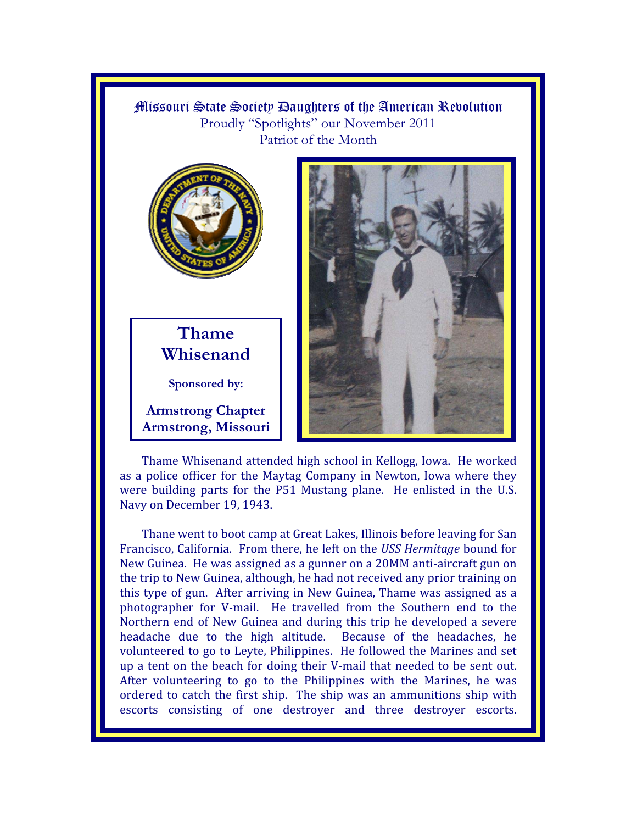## Missouri State Society Daughters of the American Rebolution Proudly "Spotlights" our November 2011 Patriot of the Month



## Thame Whisenand

Sponsored by:

**Armstrong Chapter Armstrong, Missouri** 



Thame Whisenand attended high school in Kellogg, Iowa. He worked as a police officer for the Maytag Company in Newton, Iowa where they were building parts for the P51 Mustang plane. He enlisted in the U.S. Navy on December 19, 1943.

Thane went to boot camp at Great Lakes, Illinois before leaving for San Francisco, California. From there, he left on the USS Hermitage bound for New Guinea. He was assigned as a gunner on a 20MM anti-aircraft gun on the trip to New Guinea, although, he had not received any prior training on this type of gun. After arriving in New Guinea, Thame was assigned as a photographer for V-mail. He travelled from the Southern end to the Northern end of New Guinea and during this trip he developed a severe headache due to the high altitude. Because of the headaches, he volunteered to go to Leyte, Philippines. He followed the Marines and set up a tent on the beach for doing their V-mail that needed to be sent out. After volunteering to go to the Philippines with the Marines, he was ordered to catch the first ship. The ship was an ammunitions ship with escorts consisting of one destroyer and three destroyer escorts.